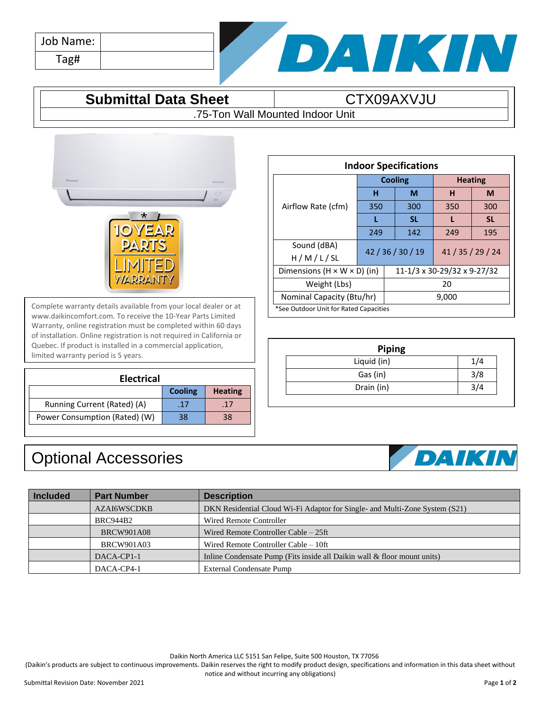| Job Name: |  |
|-----------|--|
| Tag#      |  |



## **Submittal Data Sheet CTX09AXVJU**

.75-Ton Wall Mounted Indoor Unit



Complete warranty details available from your local dealer or at www.daikincomfort.com. To receive the 10-Year Parts Limited Warranty, online registration must be completed within 60 days of installation. Online registration is not required in California or Quebec. If product is installed in a commercial application, limited warranty period is 5 years.

| <b>Electrical</b>             |                |                |  |  |
|-------------------------------|----------------|----------------|--|--|
|                               | <b>Cooling</b> | <b>Heating</b> |  |  |
| Running Current (Rated) (A)   | .17            | .17            |  |  |
| Power Consumption (Rated) (W) | 38             | 38             |  |  |

## Optional Accessories

| <b>Indoor Specifications</b>           |                                         |       |                             |     |           |
|----------------------------------------|-----------------------------------------|-------|-----------------------------|-----|-----------|
|                                        | <b>Cooling</b>                          |       | <b>Heating</b>              |     |           |
| Airflow Rate (cfm)                     | н                                       |       | М                           | н   | M         |
|                                        | 350                                     |       | 300                         | 350 | 300       |
|                                        | L                                       |       | <b>SL</b>                   |     | <b>SL</b> |
|                                        | 249                                     |       | 142                         | 249 | 195       |
| Sound (dBA)<br>H/M/L/SL                | 42 / 36 / 30 / 19                       |       | 41 / 35 / 29 / 24           |     |           |
|                                        | Dimensions $(H \times W \times D)$ (in) |       | 11-1/3 x 30-29/32 x 9-27/32 |     |           |
| Weight (Lbs)                           |                                         | 20    |                             |     |           |
| Nominal Capacity (Btu/hr)              |                                         | 9,000 |                             |     |           |
| *See Outdoor Unit for Rated Capacities |                                         |       |                             |     |           |

| <b>Piping</b> |       |
|---------------|-------|
| Liquid (in)   | 1 / 4 |
| Gas (in)      | 3/8   |
| Drain (in)    |       |



| <b>Included</b> | <b>Part Number</b> | <b>Description</b>                                                          |
|-----------------|--------------------|-----------------------------------------------------------------------------|
|                 | <b>AZAI6WSCDKB</b> | DKN Residential Cloud Wi-Fi Adaptor for Single- and Multi-Zone System (S21) |
|                 | <b>BRC944B2</b>    | Wired Remote Controller                                                     |
|                 | <b>BRCW901A08</b>  | Wired Remote Controller Cable – 25ft                                        |
|                 | <b>BRCW901A03</b>  | Wired Remote Controller Cable – 10ft                                        |
|                 | DACA-CP1-1         | Inline Condensate Pump (Fits inside all Daikin wall & floor mount units)    |
|                 | DACA-CP4-1         | External Condensate Pump                                                    |

Daikin North America LLC 5151 San Felipe, Suite 500 Houston, TX 77056

(Daikin's products are subject to continuous improvements. Daikin reserves the right to modify product design, specifications and information in this data sheet without notice and without incurring any obligations)